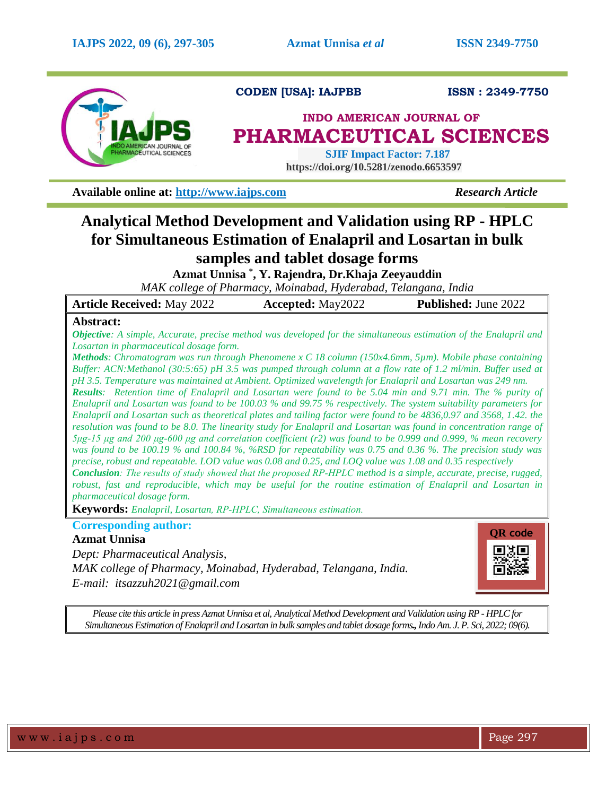

**CODEN [USA]: IAJPBB ISSN : 2349-7750** 

# **INDO AMERICAN JOURNAL OF PHARMACEUTICAL SCIENCES**

 **SJIF Impact Factor: 7.187 https://doi.org/10.5281/zenodo.6653597** 

**Available online at: [http://www.iajps.com](http://www.iajps.com/)** *Research Article*

# **Analytical Method Development and Validation using RP - HPLC for Simultaneous Estimation of Enalapril and Losartan in bulk samples and tablet dosage forms**

**Azmat Unnisa \* , Y. Rajendra, Dr.Khaja Zeeyauddin**

*MAK college of Pharmacy, Moinabad, Hyderabad, Telangana, India*

| <b>Article Received: May 2022</b> | <b>Accepted:</b> May2022 | <b>Published: June 2022</b> |
|-----------------------------------|--------------------------|-----------------------------|
|                                   |                          |                             |

# **Abstract:**

*Objective: A simple, Accurate, precise method was developed for the simultaneous estimation of the Enalapril and Losartan in pharmaceutical dosage form.*

*Methods: Chromatogram was run through Phenomene x C 18 column (150x4.6mm, 5µm). Mobile phase containing Buffer: ACN:Methanol (30:5:65) pH 3.5 was pumped through column at a flow rate of 1.2 ml/min. Buffer used at pH 3.5. Temperature was maintained at Ambient. Optimized wavelength for Enalapril and Losartan was 249 nm.*

*Results: Retention time of Enalapril and Losartan were found to be 5.04 min and 9.71 min. The % purity of Enalapril and Losartan was found to be 100.03 % and 99.75 % respectively. The system suitability parameters for Enalapril and Losartan such as theoretical plates and tailing factor were found to be 4836,0.97 and 3568, 1.42. the resolution was found to be 8.0. The linearity study for Enalapril and Losartan was found in concentration range of 5μg-15 μg and 200 μg-600 μg and correlation coefficient (r2) was found to be 0.999 and 0.999, % mean recovery was found to be 100.19 % and 100.84 %, %RSD for repeatability was 0.75 and 0.36 %. The precision study was precise, robust and repeatable. LOD value was 0.08 and 0.25, and LOQ value was 1.08 and 0.35 respectively*

*Conclusion: The results of study showed that the proposed RP‐HPLC method is a simple, accurate, precise, rugged, robust, fast and reproducible, which may be useful for the routine estimation of Enalapril and Losartan in pharmaceutical dosage form.*

**Keywords:** *Enalapril, Losartan, RP‐HPLC, Simultaneous estimation.*

# **Corresponding author:**

# **Azmat Unnisa**

*Dept: Pharmaceutical Analysis, MAK college of Pharmacy, Moinabad, Hyderabad, Telangana, India. E-mail: itsazzuh2021@gmail.com* 



*Please cite this article in press Azmat Unnisa et al, Analytical Method Development and Validation using RP - HPLC for Simultaneous Estimation of Enalapril and Losartan in bulk samples and tablet dosage forms.,Indo Am. J. P. Sci, 2022; 09(6).*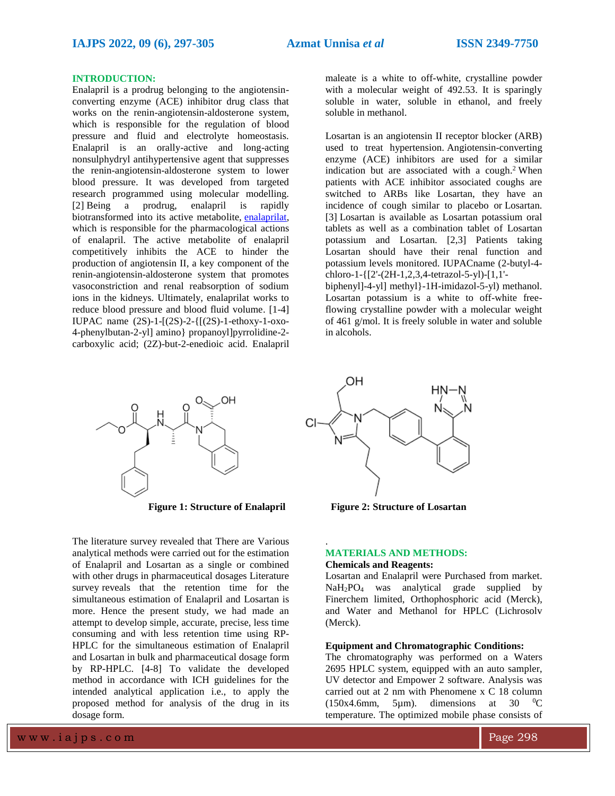#### **INTRODUCTION:**

Enalapril is a prodrug belonging to the angiotensinconverting enzyme (ACE) inhibitor drug class that works on the renin-angiotensin-aldosterone system, which is responsible for the regulation of blood pressure and fluid and electrolyte homeostasis. Enalapril is an orally-active and long-acting nonsulphydryl antihypertensive agent that suppresses the renin-angiotensin-aldosterone system to lower blood pressure. It was developed from targeted research programmed using molecular modelling. [2] Being a prodrug, enalapril is rapidly biotransformed into its active metabolite, [enalaprilat,](https://go.drugbank.com/drugs/DB09477) which is responsible for the pharmacological actions of enalapril. The active metabolite of enalapril competitively inhibits the ACE to hinder the production of angiotensin II, a key component of the renin-angiotensin-aldosterone system that promotes vasoconstriction and renal reabsorption of sodium ions in the kidneys. Ultimately, enalaprilat works to reduce blood pressure and blood fluid volume. [1-4] IUPAC name (2S)-1-[(2S)-2-{[(2S)-1-ethoxy-1-oxo-4-phenylbutan-2-yl] amino} propanoyl]pyrrolidine-2 carboxylic acid; (2Z)-but-2-enedioic acid. Enalapril maleate is a white to off-white, crystalline powder with a molecular weight of 492.53. It is sparingly soluble in water, soluble in ethanol, and freely soluble in methanol.

Losartan is an angiotensin II receptor blocker (ARB) used to treat hypertension. Angiotensin-converting enzyme (ACE) inhibitors are used for a similar indication but are associated with a cough[.](https://go.drugbank.com/drugs/DB00678#reference-L7423) <sup>2</sup> When patients with ACE inhibitor associated coughs are switched to ARBs like Losartan, they have an incidence of cough similar to placebo or [Losartan.](https://go.drugbank.com/drugs/DB00999) [3] Losartan is available as Losartan potassium oral tablets as well as a combination tablet of Losartan potassium and Losartan. [2,3] Patients taking Losartan should have their renal function and potassium levels monitored. IUPACname (2-butyl-4 chloro-1-{[2'-(2H-1,2,3,4-tetrazol-5-yl)-[1,1'-

biphenyl]-4-yl] methyl}-1H-imidazol-5-yl) methanol. Losartan potassium is a white to off-white freeflowing crystalline powder with a molecular weight of 461 g/mol. It is freely soluble in water and soluble in alcohols.



**Figure 1: Structure of Enalapril Figure 2: Structure of Losartan**

The literature survey revealed that There are Various analytical methods were carried out for the estimation of Enalapril and Losartan as a single or combined with other drugs in pharmaceutical dosages Literature survey reveals that the retention time for the simultaneous estimation of Enalapril and Losartan is more. Hence the present study, we had made an attempt to develop simple, accurate, precise, less time consuming and with less retention time using RP-HPLC for the simultaneous estimation of Enalapril and Losartan in bulk and pharmaceutical dosage form by RP-HPLC. [4-8] To validate the developed method in accordance with ICH guidelines for the intended analytical application i.e., to apply the proposed method for analysis of the drug in its dosage form.



# **MATERIALS AND METHODS:**

### **Chemicals and Reagents:**

.

Losartan and Enalapril were Purchased from market. NaH2PO<sup>4</sup> was analytical grade supplied by Finerchem limited, Orthophosphoric acid (Merck), and Water and Methanol for HPLC (Lichrosolv (Merck).

#### **Equipment and Chromatographic Conditions:**

The chromatography was performed on a Waters 2695 HPLC system, equipped with an auto sampler, UV detector and Empower 2 software. Analysis was carried out at 2 nm with Phenomene x C 18 column  $(150x4.6mm, 5\mu m)$ . dimensions at 30 <sup>o</sup>C temperature. The optimized mobile phase consists of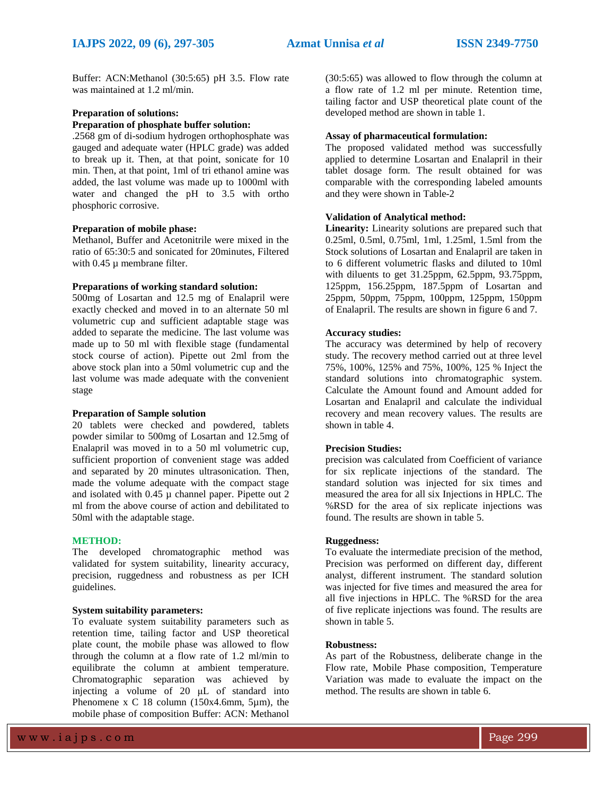Buffer: ACN:Methanol (30:5:65) pH 3.5. Flow rate was maintained at 1.2 ml/min.

#### **Preparation of solutions:**

#### **Preparation of phosphate buffer solution:**

.2568 gm of di-sodium hydrogen orthophosphate was gauged and adequate water (HPLC grade) was added to break up it. Then, at that point, sonicate for 10 min. Then, at that point, 1ml of tri ethanol amine was added, the last volume was made up to 1000ml with water and changed the pH to 3.5 with ortho phosphoric corrosive.

## **Preparation of mobile phase:**

Methanol, Buffer and Acetonitrile were mixed in the ratio of 65:30:5 and sonicated for 20minutes, Filtered with 0.45  $\mu$  membrane filter.

#### **Preparations of working standard solution:**

500mg of Losartan and 12.5 mg of Enalapril were exactly checked and moved in to an alternate 50 ml volumetric cup and sufficient adaptable stage was added to separate the medicine. The last volume was made up to 50 ml with flexible stage (fundamental stock course of action). Pipette out 2ml from the above stock plan into a 50ml volumetric cup and the last volume was made adequate with the convenient stage

#### **Preparation of Sample solution**

20 tablets were checked and powdered, tablets powder similar to 500mg of Losartan and 12.5mg of Enalapril was moved in to a 50 ml volumetric cup, sufficient proportion of convenient stage was added and separated by 20 minutes ultrasonication. Then, made the volume adequate with the compact stage and isolated with 0.45 µ channel paper. Pipette out 2 ml from the above course of action and debilitated to 50ml with the adaptable stage.

#### **METHOD:**

The developed chromatographic method was validated for system suitability, linearity accuracy, precision, ruggedness and robustness as per ICH guidelines.

#### **System suitability parameters:**

To evaluate system suitability parameters such as retention time, tailing factor and USP theoretical plate count, the mobile phase was allowed to flow through the column at a flow rate of 1.2 ml/min to equilibrate the column at ambient temperature. Chromatographic separation was achieved by injecting a volume of 20 μL of standard into Phenomene x C 18 column (150x4.6mm, 5 $\mu$ m), the mobile phase of composition Buffer: ACN: Methanol

(30:5:65) was allowed to flow through the column at a flow rate of 1.2 ml per minute. Retention time, tailing factor and USP theoretical plate count of the developed method are shown in table 1.

#### **Assay of pharmaceutical formulation:**

The proposed validated method was successfully applied to determine Losartan and Enalapril in their tablet dosage form. The result obtained for was comparable with the corresponding labeled amounts and they were shown in Table-2

#### **Validation of Analytical method:**

**Linearity:** Linearity solutions are prepared such that 0.25ml, 0.5ml, 0.75ml, 1ml, 1.25ml, 1.5ml from the Stock solutions of Losartan and Enalapril are taken in to 6 different volumetric flasks and diluted to 10ml with diluents to get 31.25ppm, 62.5ppm, 93.75ppm, 125ppm, 156.25ppm, 187.5ppm of Losartan and 25ppm, 50ppm, 75ppm, 100ppm, 125ppm, 150ppm of Enalapril. The results are shown in figure 6 and 7.

# **Accuracy studies:**

The accuracy was determined by help of recovery study. The recovery method carried out at three level 75%, 100%, 125% and 75%, 100%, 125 % Inject the standard solutions into chromatographic system. Calculate the Amount found and Amount added for Losartan and Enalapril and calculate the individual recovery and mean recovery values. The results are shown in table 4.

#### **Precision Studies:**

precision was calculated from Coefficient of variance for six replicate injections of the standard. The standard solution was injected for six times and measured the area for all six Injections in HPLC. The %RSD for the area of six replicate injections was found. The results are shown in table 5.

#### **Ruggedness:**

To evaluate the intermediate precision of the method, Precision was performed on different day, different analyst, different instrument. The standard solution was injected for five times and measured the area for all five injections in HPLC. The %RSD for the area of five replicate injections was found. The results are shown in table 5.

#### **Robustness:**

As part of the Robustness, deliberate change in the Flow rate, Mobile Phase composition, Temperature Variation was made to evaluate the impact on the method. The results are shown in table 6.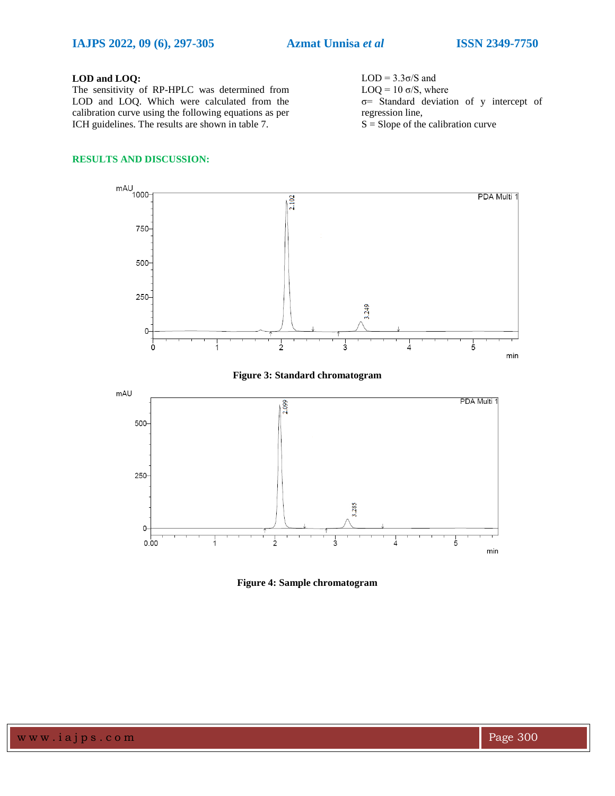## **LOD and LOQ:**

The sensitivity of RP-HPLC was determined from LOD and LOQ. Which were calculated from the calibration curve using the following equations as per ICH guidelines. The results are shown in table 7.

#### **RESULTS AND DISCUSSION:**

0

 $0.00$ 

```
LOD = 3.3\sigma/S and
LOQ = 10 \sigma/S, where
σ= Standard deviation of y intercept of 
regression line,
S =Slope of the calibration curve
```
 $\frac{1}{5}$ 

min





Ś.

 $\frac{1}{2}$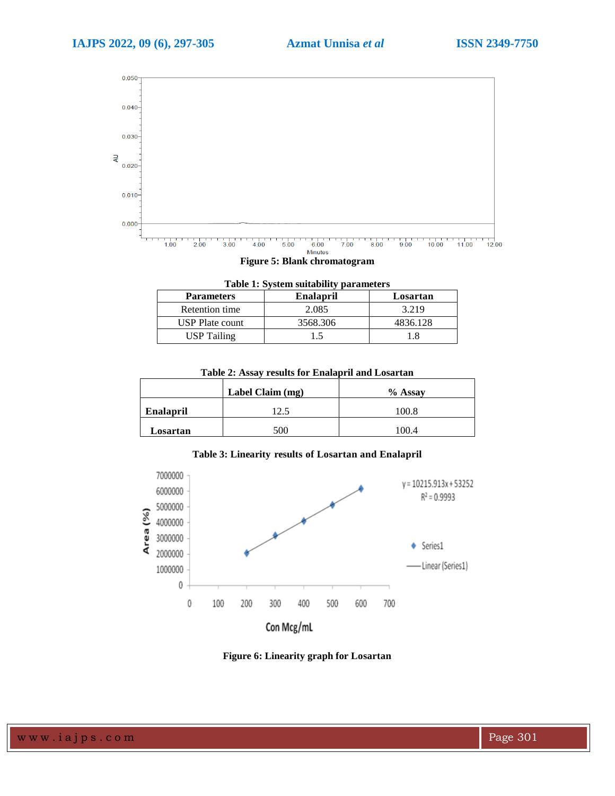

**Table 1: System suitability parameters**

| <b>Parameters</b>  | <b>Enalapril</b> | Losartan |
|--------------------|------------------|----------|
| Retention time     | 2.085            | 3.219    |
| USP Plate count    | 3568.306         | 4836.128 |
| <b>USP</b> Tailing |                  |          |

**Table 2: Assay results for Enalapril and Losartan**

|                  | Label Claim (mg) | $%$ Assay |
|------------------|------------------|-----------|
| <b>Enalapril</b> |                  | 100.8     |
| Losartan         | 500              | 100.4     |

**Table 3: Linearity results of Losartan and Enalapril**



**Figure 6: Linearity graph for Losartan**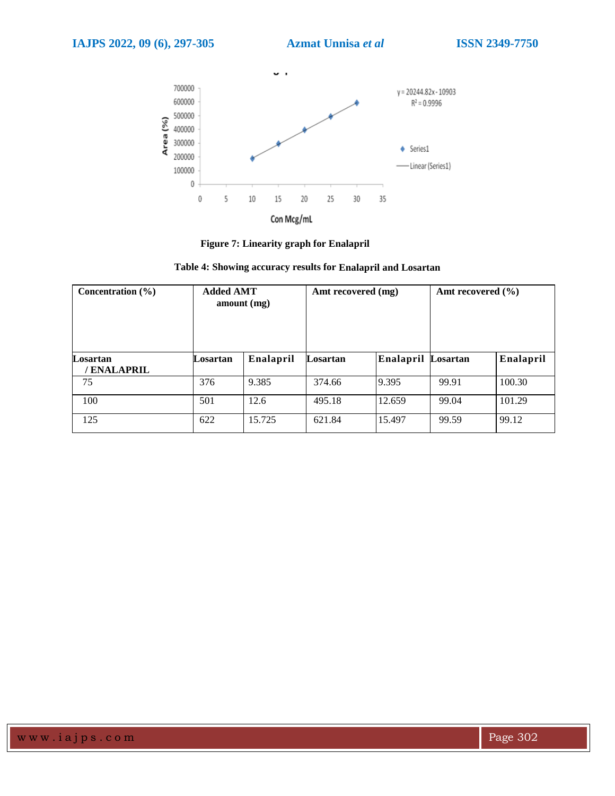

**Figure 7: Linearity graph for Enalapril**

|  |  |  | Table 4: Showing accuracy results for Enalapril and Losartan |  |  |  |
|--|--|--|--------------------------------------------------------------|--|--|--|
|--|--|--|--------------------------------------------------------------|--|--|--|

| Concentration $(\% )$        | <b>Added AMT</b><br>amount (mg) |           | Amt recovered (mg) |                    | Amt recovered $(\% )$ |           |
|------------------------------|---------------------------------|-----------|--------------------|--------------------|-----------------------|-----------|
| Losartan<br><b>ENALAPRIL</b> | Losartan                        | Enalapril | Losartan           | Enalapril Losartan |                       | Enalapril |
| 75                           | 376                             | 9.385     | 374.66             | 9.395              | 99.91                 | 100.30    |
| 100                          | 501                             | 12.6      | 495.18             | 12.659             | 99.04                 | 101.29    |
| 125                          | 622                             | 15.725    | 621.84             | 15.497             | 99.59                 | 99.12     |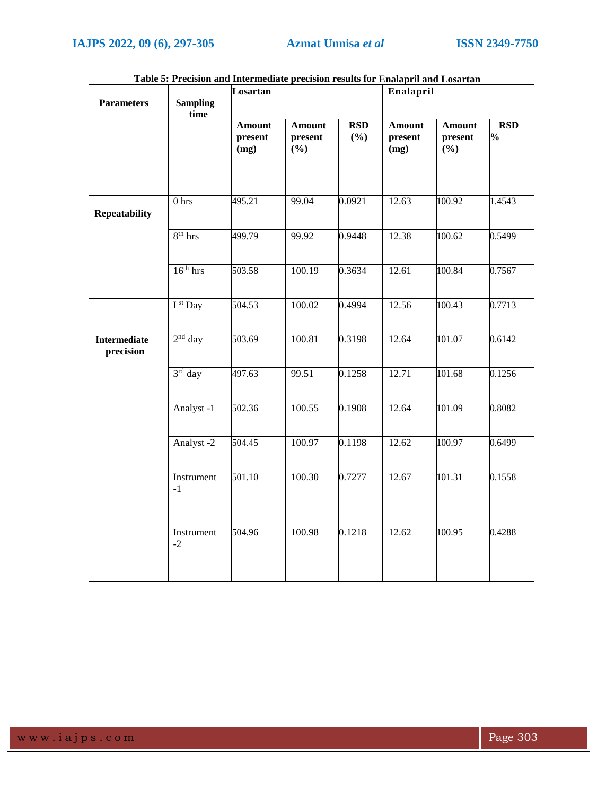|                                  |                         | Losartan                         |                                 |                   | Enalapril                        |                                 |                             |  |
|----------------------------------|-------------------------|----------------------------------|---------------------------------|-------------------|----------------------------------|---------------------------------|-----------------------------|--|
| <b>Parameters</b>                | <b>Sampling</b><br>time |                                  |                                 |                   |                                  |                                 |                             |  |
|                                  |                         | <b>Amount</b><br>present<br>(mg) | <b>Amount</b><br>present<br>(%) | <b>RSD</b><br>(%) | <b>Amount</b><br>present<br>(mg) | <b>Amount</b><br>present<br>(%) | <b>RSD</b><br>$\frac{1}{2}$ |  |
| <b>Repeatability</b>             | 0 <sub>hrs</sub>        | 495.21                           | 99.04                           | 0.0921            | 12.63                            | 100.92                          | 1.4543                      |  |
|                                  | $8th$ hrs               | 499.79                           | 99.92                           | 0.9448            | 12.38                            | 100.62                          | 0.5499                      |  |
|                                  | $16th$ hrs              | 503.58                           | 100.19                          | 0.3634            | 12.61                            | 100.84                          | 0.7567                      |  |
|                                  | I st Day                | $\overline{504.53}$              | 100.02                          | 0.4994            | 12.56                            | 100.43                          | 0.7713                      |  |
| <b>Intermediate</b><br>precision | $2nd$ day               | 503.69                           | 100.81                          | 0.3198            | 12.64                            | 101.07                          | 0.6142                      |  |
|                                  | 3rd day                 | 497.63                           | 99.51                           | 0.1258            | 12.71                            | 101.68                          | 0.1256                      |  |
|                                  | Analyst-1               | 502.36                           | 100.55                          | 0.1908            | 12.64                            | 101.09                          | 0.8082                      |  |
|                                  | Analyst <sub>-2</sub>   | 504.45                           | 100.97                          | 0.1198            | 12.62                            | 100.97                          | 0.6499                      |  |
|                                  | Instrument<br>$-1$      | $\overline{501.10}$              | 100.30                          | 0.7277            | 12.67                            | 101.31                          | 0.1558                      |  |
|                                  | Instrument<br>$-2$      | 504.96                           | 100.98                          | 0.1218            | 12.62                            | 100.95                          | 0.4288                      |  |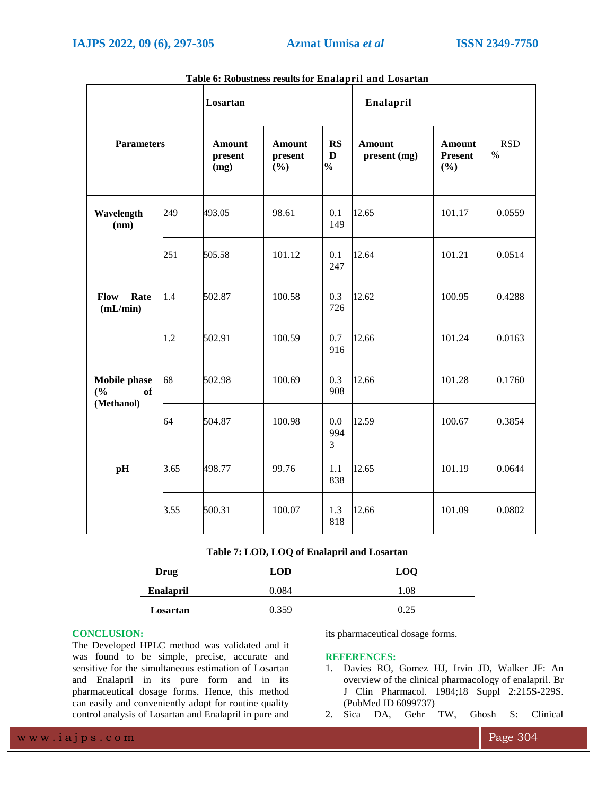|                                                |      | Losartan                         |                                 |                                 | Enalapril                     |                                        |                             |  |
|------------------------------------------------|------|----------------------------------|---------------------------------|---------------------------------|-------------------------------|----------------------------------------|-----------------------------|--|
| <b>Parameters</b>                              |      | <b>Amount</b><br>present<br>(mg) | <b>Amount</b><br>present<br>(%) | <b>RS</b><br>D<br>$\frac{0}{0}$ | <b>Amount</b><br>present (mg) | <b>Amount</b><br><b>Present</b><br>(%) | <b>RSD</b><br>$\frac{0}{0}$ |  |
| Wavelength<br>(nm)                             | 249  | 493.05                           | 98.61                           | 0.1<br>149                      | 12.65                         | 101.17                                 | 0.0559                      |  |
|                                                | 251  | 505.58                           | 101.12                          | 0.1<br>247                      | 12.64                         | 101.21                                 | 0.0514                      |  |
| Flow<br>Rate<br>(mL/min)                       | 1.4  | 502.87                           | 100.58                          | 0.3<br>726                      | 12.62                         | 100.95                                 | 0.4288                      |  |
|                                                | 1.2  | 502.91                           | 100.59                          | 0.7<br>916                      | 12.66                         | 101.24                                 | 0.0163                      |  |
| Mobile phase<br>(%)<br><b>of</b><br>(Methanol) | 68   | 502.98                           | 100.69                          | 0.3<br>908                      | 12.66                         | 101.28                                 | 0.1760                      |  |
|                                                | 64   | 504.87                           | 100.98                          | 0.0<br>994<br>3                 | 12.59                         | 100.67                                 | 0.3854                      |  |
| pH                                             | 3.65 | 498.77                           | 99.76                           | 1.1<br>838                      | 12.65                         | 101.19                                 | 0.0644                      |  |
|                                                | 3.55 | 500.31                           | 100.07                          | 1.3<br>818                      | 12.66                         | 101.09                                 | 0.0802                      |  |

| Table 6: Robustness results for Enalapril and Losartan |  |
|--------------------------------------------------------|--|
|--------------------------------------------------------|--|

| Table 7: LOD, LOQ of Enalapril and Losartan |  |
|---------------------------------------------|--|
|---------------------------------------------|--|

| <b>Drug</b> | <b>LOD</b> | <b>LOO</b> |
|-------------|------------|------------|
| Enalapril   | 0.084      | 1.08       |
| Losartan    | 0.359      | 0.25       |

## **CONCLUSION:**

The Developed HPLC method was validated and it was found to be simple, precise, accurate and sensitive for the simultaneous estimation of Losartan and Enalapril in its pure form and in its pharmaceutical dosage forms. Hence, this method can easily and conveniently adopt for routine quality control analysis of Losartan and Enalapril in pure and

its pharmaceutical dosage forms.

**REFERENCES:**

- 1. Davies RO, Gomez HJ, Irvin JD, Walker JF: An overview of the clinical pharmacology of enalapril. Br J Clin Pharmacol. 1984;18 Suppl 2:215S-229S. (PubMed ID 6099737)
- 2. Sica DA, Gehr TW, Ghosh S: Clinical